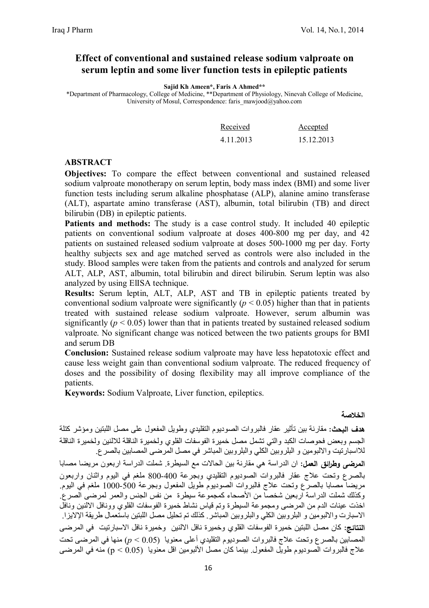## **Effect of conventional and sustained release sodium valproate on serum leptin and some liver function tests in epileptic patients**

**Sajid Kh Ameen\*, Faris A Ahmed\*\***

\*Department of Pharmacology, College of Medicine, \*\*Department of Physiology, Ninevah College of Medicine, University of Mosul, Correspondence: faris\_mawjood@yahoo.com

| Received  | Accepted   |
|-----------|------------|
| 4.11.2013 | 15.12.2013 |

### **ABSTRACT**

**Objectives:** To compare the effect between conventional and sustained released sodium valproate monotherapy on serum leptin, body mass index (BMI) and some liver function tests including serum alkaline phosphatase (ALP), alanine amino transferase (ALT), aspartate amino transferase (AST), albumin, total bilirubin (TB) and direct bilirubin (DB) in epileptic patients.

Patients and methods: The study is a case control study. It included 40 epileptic patients on conventional sodium valproate at doses 400-800 mg per day, and 42 patients on sustained released sodium valproate at doses 500-1000 mg per day. Forty healthy subjects sex and age matched served as controls were also included in the study. Blood samples were taken from the patients and controls and analyzed for serum ALT, ALP, AST, albumin, total bilirubin and direct bilirubin. Serum leptin was also analyzed by using ElISA technique.

**Results:** Serum leptin, ALT, ALP, AST and TB in epileptic patients treated by conventional sodium valproate were significantly  $(p < 0.05)$  higher than that in patients treated with sustained release sodium valproate. However, serum albumin was significantly ( $p < 0.05$ ) lower than that in patients treated by sustained released sodium valproate. No significant change was noticed between the two patients groups for BMI and serum DB

**Conclusion:** Sustained release sodium valproate may have less hepatotoxic effect and cause less weight gain than conventional sodium valproate. The reduced frequency of doses and the possibility of dosing flexibility may all improve compliance of the patients.

**Keywords:** Sodium Valproate, Liver function, epileptics.

### **الخلاصة**

**هدف البحث:** مقارنة بین تأثیر عقار فالبروات الصودیوم التقلیدي وطویل المفعول على مصل اللبتین ومؤشر كتلة الجسم وبعض فحوصات الكبد والتي تشمل مصل خمیرة الفوسفات القلوي ولخمیرة الناقلة للالنین ولخمیرة الناقلة للااسبارتیت والالبومین و البلروبین الكلي والبلروبین المباشر في مصل المرضى المصابین بالصرع.

**المرضى وطرائق العمل:** ان الدراسة ھي مقارنة بین الحالات مع السیطرة. شملت الدراسة اربعون مریضا مصابا بالصرع وتحت علاج عقار فالبروات الصودیوم التقلیدي وبجرعة 800-400 ملغم في الیوم واثنان واربعون مریضا مصابا بالصرع وتحت علاج فالبروات الصودیوم طویل المفعول وبجرعة 1000-500 ملغم في الیوم. وكذلك شملت الدراسة اربعین شخصا من الأصحاء كمجموعة سیطرة من نفس الجنس والعمر لمرضى الصرع. اخذت عینات الدم من المرضى ومجموعة السیطرة وتم قیاس نشاط خمیرة الفوسفات القلوي وونافل الالنین ونافل الاسبارت والالبومین و البلروبین الكلي والبلروبین المباشر. كذلك تم تحلیل مصل اللبتین باستعمال طریقة الإلایزا. **النتائج:** كان مصل اللبتین خمیرة الفوسفات القلوي وخمیرة نافل الالنین وخمیرة نافل الاسبارتیت في المرضى المصابین بالصرع وتحت علاج فالبروات الصودیوم التقلیدي أعلى معنویا (0.05 > *p* (منھا في المرضى تحت علاج فالبروات الصودیوم طویل المفعول. بینما كان مصل الألبومین اقل معنویا (0.05 > p (منھ في المرضى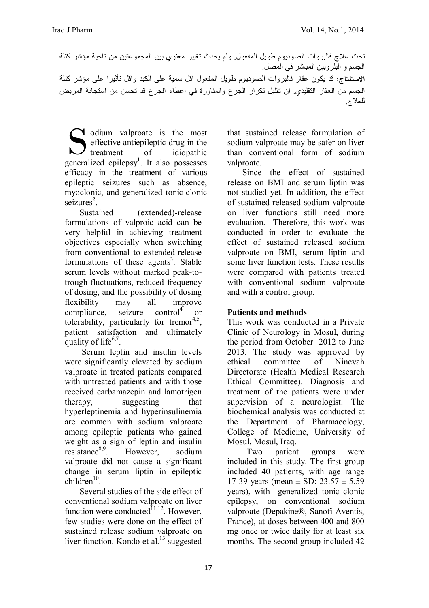تحت علاج فالبروات الصودیوم طویل المفعول. ولم یحدث تغییر معنوي بین المجموعتین من ناحیة مؤشر كتلة الجسم و البلروبین المباشر في المصل. **الاستنتاج:** قد یكون عقار فالبروات الصودیوم طویل المفعول اقل سمیة على الكبد واقل تأثیرا على مؤشر كتلة الجسم من العقار التقلیدي. ان تقلیل تكرار الجرع والمناورة في اعطاء الجرع قد تحسن من استجابة المریض للعلاج.

odium valproate is the most effective antiepileptic drug in the I treatment of idiopathic Gudium valproate is the most effective antiepileptic drug in the treatment of idiopathic generalized epilepsy<sup>1</sup>. It also possesses efficacy in the treatment of various epileptic seizures such as absence, myoclonic, and generalized tonic-clonic  $s$ eizures<sup>2</sup>.

 Sustained (extended)-release formulations of valproic acid can be very helpful in achieving treatment objectives especially when switching from conventional to extended-release formulations of these agents<sup>3</sup>. Stable serum levels without marked peak-totrough fluctuations, reduced frequency of dosing, and the possibility of dosing flexibility may all improve  $compliance$ , seizure control<sup>4</sup> or tolerability, particularly for tremor<sup>4,5</sup>, patient satisfaction and ultimately quality of life $6,7$ .

 Serum leptin and insulin levels were significantly elevated by sodium valproate in treated patients compared with untreated patients and with those received carbamazepin and lamotrigen therapy, suggesting that hyperleptinemia and hyperinsulinemia are common with sodium valproate among epileptic patients who gained weight as a sign of leptin and insulin resistance8,9. However, sodium valproate did not cause a significant change in serum liptin in epileptic  $children<sup>10</sup>$ .

 Several studies of the side effect of conventional sodium valproate on liver function were conducted $1,1,12$ . However, few studies were done on the effect of sustained release sodium valproate on liver function. Kondo et al. $^{13}$  suggested

that sustained release formulation of sodium valproate may be safer on liver than conventional form of sodium valproate.

 Since the effect of sustained release on BMI and serum liptin was not studied yet. In addition, the effect of sustained released sodium valproate on liver functions still need more evaluation. Therefore, this work was conducted in order to evaluate the effect of sustained released sodium valproate on BMI, serum liptin and some liver function tests. These results were compared with patients treated with conventional sodium valproate and with a control group.

## **Patients and methods**

This work was conducted in a Private Clinic of Neurology in Mosul, during the period from October 2012 to June 2013. The study was approved by ethical committee of Ninevah Directorate (Health Medical Research Ethical Committee). Diagnosis and treatment of the patients were under supervision of a neurologist. The biochemical analysis was conducted at the Department of Pharmacology, College of Medicine, University of Mosul, Mosul, Iraq.

 Two patient groups were included in this study. The first group included 40 patients, with age range 17-39 years (mean  $\pm$  SD: 23.57  $\pm$  5.59 years), with generalized tonic clonic epilepsy, on conventional sodium valproate (Depakine®, Sanofi-Aventis, France), at doses between 400 and 800 mg once or twice daily for at least six months. The second group included 42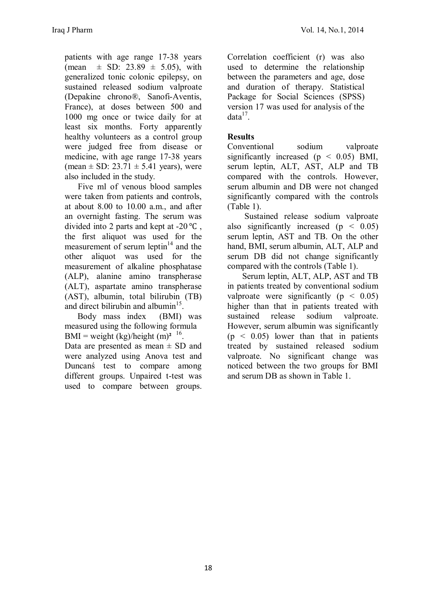patients with age range 17-38 years (mean  $\pm$  SD: 23.89  $\pm$  5.05), with generalized tonic colonic epilepsy, on sustained released sodium valproate (Depakine chrono®, Sanofi-Aventis, France), at doses between 500 and 1000 mg once or twice daily for at least six months. Forty apparently healthy volunteers as a control group were judged free from disease or medicine, with age range 17-38 years (mean  $\pm$  SD: 23.71  $\pm$  5.41 years), were also included in the study.

 Five ml of venous blood samples were taken from patients and controls, at about 8.00 to 10.00 a.m., and after an overnight fasting. The serum was divided into 2 parts and kept at -20 ℃ , the first aliquot was used for the measurement of serum leptin $14$  and the other aliquot was used for the measurement of alkaline phosphatase (ALP), alanine amino transpherase (ALT), aspartate amino transpherase (AST), albumin, total bilirubin (TB) and direct bilirubin and albumin $15$ .

 Body mass index (BMI) was measured using the following formula BMI = weight  $\frac{\text{(kg)}}{\text{height (m)}^2}$  <sup>16</sup>.

Data are presented as mean  $\pm$  SD and were analyzed using Anova test and Duncanś test to compare among different groups. Unpaired t-test was used to compare between groups.

Correlation coefficient (r) was also used to determine the relationship between the parameters and age, dose and duration of therapy. Statistical Package for Social Sciences (SPSS) version 17 was used for analysis of the  $data<sup>17</sup>$ .

## **Results**

Conventional sodium valproate significantly increased ( $p \leq 0.05$ ) BMI, serum leptin, ALT, AST, ALP and TB compared with the controls. However, serum albumin and DB were not changed significantly compared with the controls (Table 1).

 Sustained release sodium valproate also significantly increased  $(p < 0.05)$ serum leptin, AST and TB. On the other hand, BMI, serum albumin, ALT, ALP and serum DB did not change significantly compared with the controls (Table 1).

 Serum leptin, ALT, ALP, AST and TB in patients treated by conventional sodium valproate were significantly ( $p < 0.05$ ) higher than that in patients treated with sustained release sodium valproate. However, serum albumin was significantly  $(p \leq 0.05)$  lower than that in patients treated by sustained released sodium valproate. No significant change was noticed between the two groups for BMI and serum DB as shown in Table 1.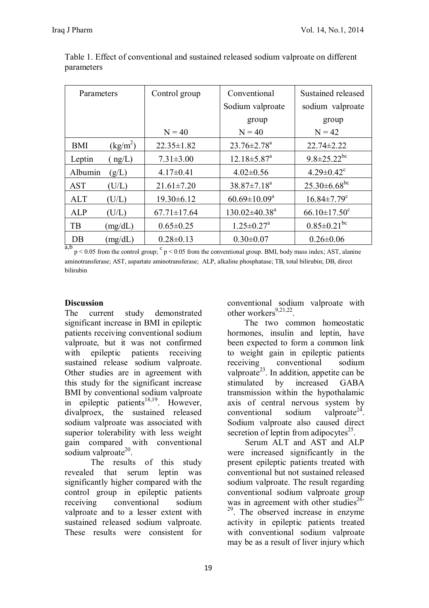| Parameters |            | Control group     | Conventional                    | Sustained released             |
|------------|------------|-------------------|---------------------------------|--------------------------------|
|            |            |                   | Sodium valproate                | sodium valproate               |
|            |            |                   | group                           | group                          |
|            |            | $N = 40$          | $N = 40$                        | $N = 42$                       |
| <b>BMI</b> | $(kg/m^2)$ | $22.35 \pm 1.82$  | $23.76 \pm 2.78$ <sup>a</sup>   | $22.74 \pm 2.22$               |
| Leptin     | ng/L)      | $7.31 \pm 3.00$   | $12.18 \pm 5.87$ <sup>a</sup>   | $9.8 \pm 25.22$ <sup>bc</sup>  |
| Albumin    | (g/L)      | $4.17 \pm 0.41$   | $4.02 \pm 0.56$                 | $4.29 \pm 0.42$ <sup>c</sup>   |
| <b>AST</b> | (U/L)      | $21.61 \pm 7.20$  | $38.87 \pm 7.18^a$              | $25.30\pm6.68$ <sup>bc</sup>   |
| <b>ALT</b> | (U/L)      | $19.30 \pm 6.12$  | $60.69 \pm 10.09^a$             | $16.84 \pm 7.79$ <sup>c</sup>  |
| <b>ALP</b> | (U/L)      | $67.71 \pm 17.64$ | $130.02 \pm 40.38$ <sup>a</sup> | $66.10 \pm 17.50$ <sup>c</sup> |
| TB         | (mg/dL)    | $0.65 \pm 0.25$   | $1.25 \pm 0.27$ <sup>a</sup>    | $0.85 \pm 0.21$ <sup>bc</sup>  |
| DB         | (mg/dL)    | $0.28 \pm 0.13$   | $0.30 \pm 0.07$                 | $0.26 \pm 0.06$                |

Table 1. Effect of conventional and sustained released sodium valproate on different parameters

 $a,b$   $p < 0.05$  from the control group;  $c$   $p < 0.05$  from the conventional group. BMI, body mass index; AST, alanine aminotransferase; AST, aspartate aminotransferase; ALP, alkaline phosphatase; TB, total bilirubin; DB, direct bilirubin

## **Discussion**

The current study demonstrated significant increase in BMI in epileptic patients receiving conventional sodium valproate, but it was not confirmed with epileptic patients receiving sustained release sodium valproate. Other studies are in agreement with this study for the significant increase BMI by conventional sodium valproate in epileptic patients<sup>18,19</sup>. However, divalproex, the sustained released sodium valproate was associated with superior tolerability with less weight gain compared with conventional sodium valproate<sup>20</sup>.

The results of this study revealed that serum leptin was significantly higher compared with the control group in epileptic patients receiving conventional sodium valproate and to a lesser extent with sustained released sodium valproate. These results were consistent for

conventional sodium valproate with other workers $9,21,22$ .

The two common homeostatic hormones, insulin and leptin, have been expected to form a common link to weight gain in epileptic patients<br>receiving conventional sodium receiving conventional sodium valproate<sup>23</sup>. In addition, appetite can be stimulated by increased GABA transmission within the hypothalamic axis of central nervous system by conventional sodium valproate $24$ . Sodium valproate also caused direct secretion of leptin from adipocytes $2<sup>5</sup>$ .

 Serum ALT and AST and ALP were increased significantly in the present epileptic patients treated with conventional but not sustained released sodium valproate. The result regarding conventional sodium valproate group was in agreement with other studies<sup>26-</sup> <sup>29</sup>. The observed increase in enzyme activity in epileptic patients treated with conventional sodium valproate may be as a result of liver injury which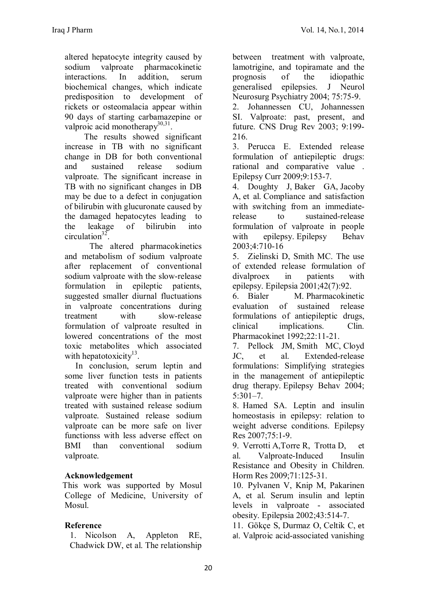altered hepatocyte integrity caused by sodium valproate pharmacokinetic interactions In addition serum biochemical changes, which indicate predisposition to development of rickets or osteomalacia appear within 90 days of starting carbamazepine or valproic acid monotherapy<sup>30,31</sup>.

 The results showed significant increase in TB with no significant change in DB for both conventional and sustained release sodium valproate. The significant increase in TB with no significant changes in DB may be due to a defect in conjugation of bilirubin with glucuronate caused by the damaged hepatocytes leading to the leakage of bilirubin into circulation<sup>32</sup>.

 The altered pharmacokinetics and metabolism of sodium valproate after replacement of conventional sodium valproate with the slow-release formulation in epileptic patients, suggested smaller diurnal fluctuations in valproate concentrations during treatment with slow-release formulation of valproate resulted in lowered concentrations of the most toxic metabolites which associated with hepatotoxicity<sup>13</sup>.

 In conclusion, serum leptin and some liver function tests in patients treated with conventional sodium valproate were higher than in patients treated with sustained release sodium valproate. Sustained release sodium valproate can be more safe on liver functionss with less adverse effect on BMI than conventional sodium valproate.

# **Acknowledgement**

 This work was supported by Mosul College of Medicine, University of Mosul.

## **Reference**

1. Nicolson A, Appleton RE, Chadwick DW, et al. The relationship

between treatment with valproate, lamotrigine, and topiramate and the prognosis of the idiopathic generalised epilepsies. J Neurol Neurosurg Psychiatry 2004; 75:75-9.

2. Johannessen CU, Johannessen SI. Valproate: past, present, and future. CNS Drug Rev 2003; 9:199- 216.

3. Perucca E. Extended release formulation of antiepileptic drugs: rational and comparative value . Epilepsy Curr 2009;9:153-7.

4. Doughty J, Baker GA, Jacoby A, et al. Compliance and satisfaction with switching from an immediaterelease to sustained-release formulation of valproate in people with epilepsy. Epilepsy Behav 2003;4:710-16

5. Zielinski D, Smith MC. The use of extended release formulation of divalproex in patients with epilepsy. Epilepsia 2001;42(7):92.

6. Bialer M. Pharmacokinetic evaluation of sustained release formulations of antiepileptic drugs, clinical implications. Clin. Pharmacokinet 1992;22:11-21.

7. Pellock JM, Smith MC, Cloyd JC, et al. Extended-release formulations: Simplifying strategies in the management of antiepileptic drug therapy. Epilepsy Behav 2004;  $5:301 - 7$ 

8. Hamed SA. Leptin and insulin homeostasis in epilepsy: relation to weight adverse conditions. Epilepsy Res 2007;75:1-9.

9. Verrotti A,Torre R, Trotta D, et al. Valproate-Induced Insulin Resistance and Obesity in Children. Horm Res 2009;71:125-31.

10. Pylvanen V, Knip M, Pakarinen A, et al. Serum insulin and leptin levels in valproate - associated obesity. Epilepsia 2002;43:514-7.

11. Gökçe S, Durmaz O, Celtik C, et al. Valproic acid-associated vanishing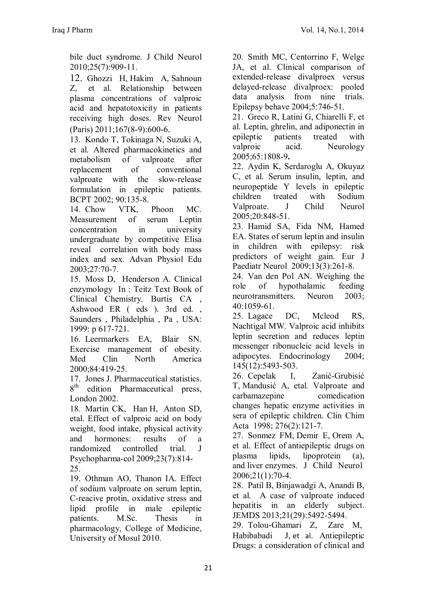bile duct syndrome. J Child Neurol 2010;25(7):909-11.

12. Ghozzi H, Hakim A, Sahnoun Z, et al. Relationship between plasma concentrations of valproic acid and hepatotoxicity in patients receiving high doses. Rev Neurol (Paris) 2011;167(8-9):600-6.

13. Kondo T, Tokinaga N, Suzuki A, et al. Altered pharmacokinetics and metabolism of valproate after replacement of conventional valproate with the slow-release formulation in epileptic patients. BCPT 2002; 90:135-8.

14. Chow VTK, Phoon MC. Measurement of serum Leptin concentration in university undergraduate by competitive Elisa reveal correlation with body mass index and sex. Advan Physiol Edu 2003;27:70-7.

15. Moss D, Henderson A. Clinical enzymology In : Teitz Text Book of Clinical Chemistry. Burtis CA , Ashwood ER ( eds ). 3rd ed. , Saunders , Philadelphia , Pa , USA: 1999: p 617-721.

16. Leermarkers EA, Blair SN. Exercise management of obesity. Med Clin North America 2000;84:419-25.

17. Jones J. Pharmaceutical statistics.  $8^{\text{th}}$ edition Pharmaceutical press, London 2002.

18. Martin CK, Han H, Anton SD, etal. Effect of valproic acid on body weight, food intake, physical activity and hormones: results of a randomized controlled trial. J Psychopharma-col 2009;23(7):814- 25.

19. Othman AO, Thanon IA. Effect of sodium valproate on serum leptin, C-reacive protin, oxidative stress and lipid profile in male epileptic patients. M.Sc. Thesis in pharmacology, College of Medicine, University of Mosul 2010.

20. Smith MC, Centorrino F, Welge JA, et al. Clinical comparison of extended-release divalproex versus delayed-release divalproex: pooled data analysis from nine trials. Epilepsy behave 2004;5:746-51.

21. Greco R, Latini G, Chiarelli F, et al. Leptin, ghrelin, and adiponectin in epileptic patients treated with valproic acid. Neurology 2005;65:1808-9**.**

22. Aydin K, Serdaroglu A, Okuyaz C, et al. Serum insulin, leptin, and neuropeptide Y levels in epileptic children treated with Sodium Valproate. J Child Neurol 2005;20:848-51.

23. Hamid SA, Fida NM, Hamed EA. States of serum leptin and insulin in children with epilepsy: risk predictors of weight gain. Eur J Paediatr Neurol 2009;13(3):261-8.

24. Van den Pol AN. Weighing the role of hypothalamic feeding neurotransmitters. Neuron 2003; 40:1059-61.

25. Lagace DC, Mcleod RS, Nachtigal MW. Valproic acid inhibits leptin secretion and reduces leptin messenger ribonucleic acid levels in adipocytes. Endocrinology 2004; 145(12):5493-503.

26. Cepelak I, Zanić-Grubisić T, Mandusić A, etal. Valproate and carbamazepine comedication changes hepatic enzyme activities in sera of epileptic children. Clin Chim Acta 1998; 276(2):121-7.

27. Sonmez FM, Demir E, Orem A, et al. Effect of antiepileptic drugs on plasma lipids, lipoprotein (a), and liver enzymes. J Child Neurol 2006;21(1):70-4.

28. Patil B, Binjawadgi A, Anandi B, et al. A case of valproate induced hepatitis in an elderly subject. JEMDS 2013;21(29):5492-5494.

29. Tolou-Ghamari Z, Zare M, Habibabadi J, et al. Antiepileptic Drugs: a consideration of clinical and